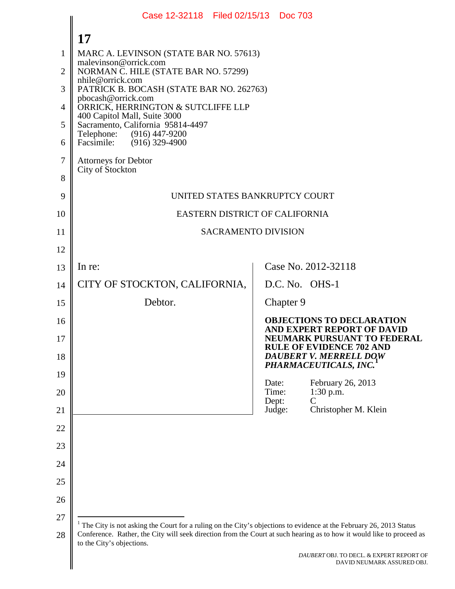<span id="page-0-0"></span>

|          | Case 12-32118 Filed 02/15/13 Doc 703                                                                               |                                                                                                                       |  |  |  |  |
|----------|--------------------------------------------------------------------------------------------------------------------|-----------------------------------------------------------------------------------------------------------------------|--|--|--|--|
|          | 17                                                                                                                 |                                                                                                                       |  |  |  |  |
| 1        | MARC A. LEVINSON (STATE BAR NO. 57613)                                                                             |                                                                                                                       |  |  |  |  |
| 2        | NORMAN C. HILE (STATE BAR NO. 57299)                                                                               | malevinson@orrick.com                                                                                                 |  |  |  |  |
| 3        | nhile@orrick.com<br>PATRICK B. BOCASH (STATE BAR NO. 262763)                                                       |                                                                                                                       |  |  |  |  |
| 4        | pbocash@orrick.com<br>ORRICK, HERRINGTON & SUTCLIFFE LLP                                                           |                                                                                                                       |  |  |  |  |
| 5        | 400 Capitol Mall, Suite 3000<br>Sacramento, California 95814-4497                                                  |                                                                                                                       |  |  |  |  |
| 6        | Telephone:<br>(916) 447-9200<br>Facsimile: (916) 329-4900                                                          |                                                                                                                       |  |  |  |  |
| 7        | <b>Attorneys for Debtor</b>                                                                                        |                                                                                                                       |  |  |  |  |
| 8        | City of Stockton                                                                                                   |                                                                                                                       |  |  |  |  |
| 9        | UNITED STATES BANKRUPTCY COURT                                                                                     |                                                                                                                       |  |  |  |  |
| 10       | EASTERN DISTRICT OF CALIFORNIA                                                                                     |                                                                                                                       |  |  |  |  |
| 11       |                                                                                                                    | <b>SACRAMENTO DIVISION</b>                                                                                            |  |  |  |  |
| 12       |                                                                                                                    |                                                                                                                       |  |  |  |  |
| 13       | In re:                                                                                                             | Case No. 2012-32118                                                                                                   |  |  |  |  |
| 14       | CITY OF STOCKTON, CALIFORNIA,                                                                                      | D.C. No. OHS-1                                                                                                        |  |  |  |  |
| 15       | Debtor.<br>Chapter 9                                                                                               |                                                                                                                       |  |  |  |  |
| 16       |                                                                                                                    | <b>OBJECTIONS TO DECLARATION</b><br>AND EXPERT REPORT OF DAVID                                                        |  |  |  |  |
| 17<br>18 |                                                                                                                    | <b>NEUMARK PURSUANT TO FEDERAL</b><br><b>RULE OF EVIDENCE 702 AND</b><br>DAUBERT V. MERRELL DOW                       |  |  |  |  |
| 19       |                                                                                                                    | PHARMACEUTICALS, INC.                                                                                                 |  |  |  |  |
| 20       | Date:<br>Time:                                                                                                     | February 26, 2013<br>$1:30$ p.m.<br>$\overline{C}$                                                                    |  |  |  |  |
| 21       | Dept:<br>Judge:                                                                                                    | Christopher M. Klein                                                                                                  |  |  |  |  |
| 22       |                                                                                                                    |                                                                                                                       |  |  |  |  |
| 23       |                                                                                                                    |                                                                                                                       |  |  |  |  |
| 24       |                                                                                                                    |                                                                                                                       |  |  |  |  |
| 25       |                                                                                                                    |                                                                                                                       |  |  |  |  |
| 26       |                                                                                                                    |                                                                                                                       |  |  |  |  |
| 27       | The City is not asking the Court for a ruling on the City's objections to evidence at the February 26, 2013 Status |                                                                                                                       |  |  |  |  |
| 28       | to the City's objections.                                                                                          | Conference. Rather, the City will seek direction from the Court at such hearing as to how it would like to proceed as |  |  |  |  |
|          |                                                                                                                    | DAUBERT OBJ. TO DECL. & EXPERT REPORT OF<br>DAVID NEUMARK ASSURED OBJ.                                                |  |  |  |  |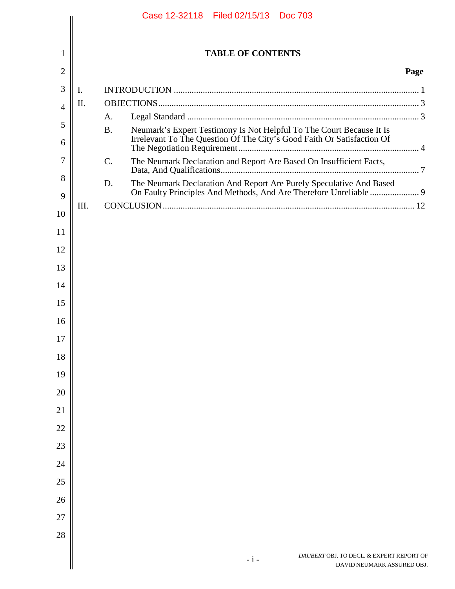|                |      |                 | Case 12-32118 Filed 02/15/13 Doc 703                                   |                          |                                                                        |      |
|----------------|------|-----------------|------------------------------------------------------------------------|--------------------------|------------------------------------------------------------------------|------|
|                |      |                 |                                                                        |                          |                                                                        |      |
| $\mathbf{1}$   |      |                 |                                                                        | <b>TABLE OF CONTENTS</b> |                                                                        |      |
| 2              |      |                 |                                                                        |                          |                                                                        | Page |
| 3              | I.   |                 |                                                                        |                          |                                                                        |      |
| $\overline{4}$ | Π.   |                 |                                                                        |                          |                                                                        |      |
| 5              |      | A.<br><b>B.</b> | Neumark's Expert Testimony Is Not Helpful To The Court Because It Is   |                          |                                                                        |      |
| 6              |      |                 | Irrelevant To The Question Of The City's Good Faith Or Satisfaction Of |                          |                                                                        |      |
| 7              |      | $\mathcal{C}$ . | The Neumark Declaration and Report Are Based On Insufficient Facts,    |                          |                                                                        |      |
| 8<br>9         |      | D.              |                                                                        |                          | The Neumark Declaration And Report Are Purely Speculative And Based    |      |
| 10             | III. |                 |                                                                        |                          |                                                                        |      |
| 11             |      |                 |                                                                        |                          |                                                                        |      |
| 12             |      |                 |                                                                        |                          |                                                                        |      |
| 13             |      |                 |                                                                        |                          |                                                                        |      |
|                |      |                 |                                                                        |                          |                                                                        |      |
| 14             |      |                 |                                                                        |                          |                                                                        |      |
| 15             |      |                 |                                                                        |                          |                                                                        |      |
| 16<br>17       |      |                 |                                                                        |                          |                                                                        |      |
| 18             |      |                 |                                                                        |                          |                                                                        |      |
| 19             |      |                 |                                                                        |                          |                                                                        |      |
| 20             |      |                 |                                                                        |                          |                                                                        |      |
| 21             |      |                 |                                                                        |                          |                                                                        |      |
| 22             |      |                 |                                                                        |                          |                                                                        |      |
| 23             |      |                 |                                                                        |                          |                                                                        |      |
| 24             |      |                 |                                                                        |                          |                                                                        |      |
| 25             |      |                 |                                                                        |                          |                                                                        |      |
| 26             |      |                 |                                                                        |                          |                                                                        |      |
| 27             |      |                 |                                                                        |                          |                                                                        |      |
| 28             |      |                 |                                                                        |                          |                                                                        |      |
|                |      |                 |                                                                        | $-i-$                    | DAUBERT OBJ. TO DECL. & EXPERT REPORT OF<br>DAVID NEUMARK ASSURED OBJ. |      |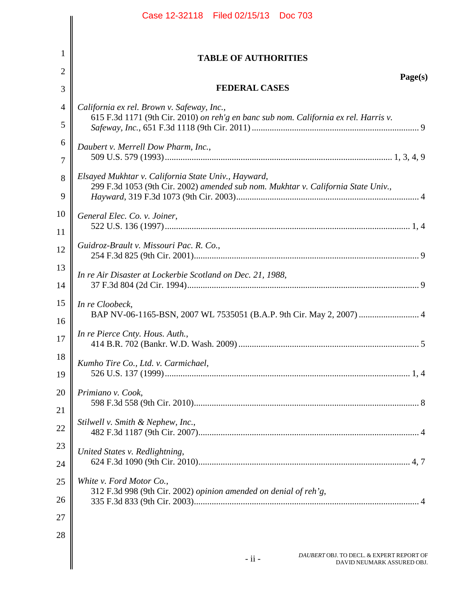|                | Case 12-32118 Filed 02/15/13 Doc 703                                                                                                     |  |  |  |
|----------------|------------------------------------------------------------------------------------------------------------------------------------------|--|--|--|
|                |                                                                                                                                          |  |  |  |
| 1              | <b>TABLE OF AUTHORITIES</b>                                                                                                              |  |  |  |
| $\overline{2}$ | Page(s)                                                                                                                                  |  |  |  |
| 3              | <b>FEDERAL CASES</b>                                                                                                                     |  |  |  |
| $\overline{4}$ | California ex rel. Brown v. Safeway, Inc.,                                                                                               |  |  |  |
| 5              | 615 F.3d 1171 (9th Cir. 2010) on reh'g en banc sub nom. California ex rel. Harris v.                                                     |  |  |  |
| 6              | Daubert v. Merrell Dow Pharm, Inc.,                                                                                                      |  |  |  |
| 7              |                                                                                                                                          |  |  |  |
| 8              | Elsayed Mukhtar v. California State Univ., Hayward,<br>299 F.3d 1053 (9th Cir. 2002) amended sub nom. Mukhtar v. California State Univ., |  |  |  |
| 9              |                                                                                                                                          |  |  |  |
| 10             | General Elec. Co. v. Joiner,                                                                                                             |  |  |  |
| 11             |                                                                                                                                          |  |  |  |
| 12             | Guidroz-Brault v. Missouri Pac. R. Co.,                                                                                                  |  |  |  |
| 13             | In re Air Disaster at Lockerbie Scotland on Dec. 21, 1988,                                                                               |  |  |  |
| 14             |                                                                                                                                          |  |  |  |
| 15<br>16       | In re Cloobeck,<br>BAP NV-06-1165-BSN, 2007 WL 7535051 (B.A.P. 9th Cir. May 2, 2007)  4                                                  |  |  |  |
| 17             | In re Pierce Cnty. Hous. Auth.,                                                                                                          |  |  |  |
| 18             | Kumho Tire Co., Ltd. v. Carmichael,                                                                                                      |  |  |  |
| 19             |                                                                                                                                          |  |  |  |
| 20             | Primiano v. Cook,                                                                                                                        |  |  |  |
| 21             |                                                                                                                                          |  |  |  |
| 22             | Stilwell v. Smith & Nephew, Inc.,                                                                                                        |  |  |  |
| 23             | United States v. Redlightning,                                                                                                           |  |  |  |
| 24             |                                                                                                                                          |  |  |  |
| 25             | White v. Ford Motor Co.,                                                                                                                 |  |  |  |
| 26             | 312 F.3d 998 (9th Cir. 2002) opinion amended on denial of reh'g,                                                                         |  |  |  |
| 27             |                                                                                                                                          |  |  |  |
| 28             |                                                                                                                                          |  |  |  |
|                | DAUBERT OBJ. TO DECL. & EXPERT REPORT OF<br>$-$ ii $-$<br>DAVID NEUMARK ASSURED OBJ.                                                     |  |  |  |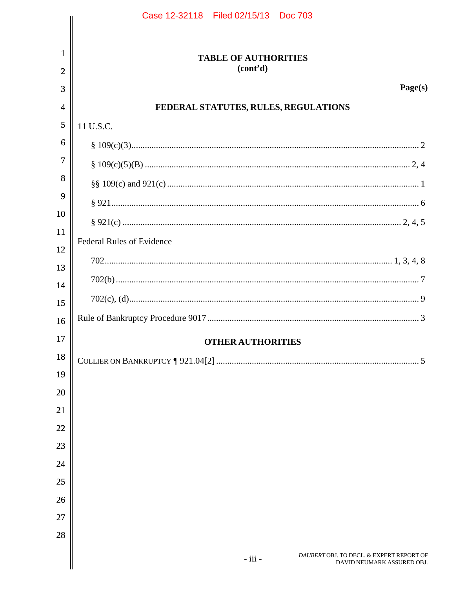|                | Case 12-32118 Filed 02/15/13 Doc 703                                              |
|----------------|-----------------------------------------------------------------------------------|
|                |                                                                                   |
| $\mathbf{1}$   | <b>TABLE OF AUTHORITIES</b>                                                       |
| $\overline{2}$ | (cont <sup>2</sup> d)                                                             |
| 3              | Page(s)                                                                           |
| $\overline{4}$ | FEDERAL STATUTES, RULES, REGULATIONS                                              |
| 5              | 11 U.S.C.                                                                         |
| 6              |                                                                                   |
| $\overline{7}$ |                                                                                   |
| 8              |                                                                                   |
| 9<br>10        |                                                                                   |
| 11             |                                                                                   |
| 12             | <b>Federal Rules of Evidence</b>                                                  |
| 13             |                                                                                   |
| 14             |                                                                                   |
| 15             |                                                                                   |
| 16             |                                                                                   |
| 17             | <b>OTHER AUTHORITIES</b>                                                          |
| 18             |                                                                                   |
| 19             |                                                                                   |
| 20             |                                                                                   |
| 21             |                                                                                   |
| 22             |                                                                                   |
| 23             |                                                                                   |
| 24             |                                                                                   |
| 25             |                                                                                   |
| 26             |                                                                                   |
| 27             |                                                                                   |
| 28             |                                                                                   |
|                | DAUBERT OBJ. TO DECL. & EXPERT REPORT OF<br>- iii -<br>DAVID NEUMARK ASSURED OBJ. |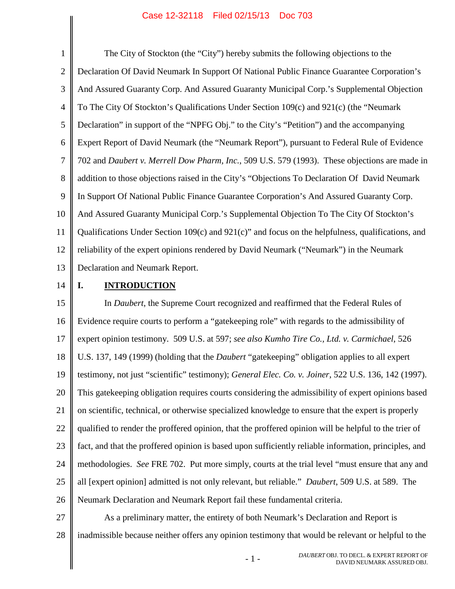<span id="page-4-4"></span><span id="page-4-3"></span><span id="page-4-0"></span>1 2 3 4 5 6 7 8 9 10 11 12 13 The City of Stockton (the "City") hereby submits the following objections to the Declaration Of David Neumark In Support Of National Public Finance Guarantee Corporation's And Assured Guaranty Corp. And Assured Guaranty Municipal Corp.'s Supplemental Objection To The City Of Stockton's Qualifications Under Section 109(c) and 921(c) (the "Neumark Declaration" in support of the "NPFG Obj." to the City's "Petition") and the accompanying Expert Report of David Neumark (the "Neumark Report"), pursuant to Federal Rule of Evidence 702 and *Daubert v. Merrell Dow Pharm, Inc.*, 509 U.S. 579 (1993). These objections are made in addition to those objections raised in the City's "Objections To Declaration Of David Neumark In Support Of National Public Finance Guarantee Corporation's And Assured Guaranty Corp. And Assured Guaranty Municipal Corp.'s Supplemental Objection To The City Of Stockton's Qualifications Under Section 109(c) and 921(c)" and focus on the helpfulness, qualifications, and reliability of the expert opinions rendered by David Neumark ("Neumark") in the Neumark Declaration and Neumark Report.

14

# <span id="page-4-2"></span><span id="page-4-1"></span>**I. INTRODUCTION**

15 16 17 18 19 20 21 22 23 24 25 26 In *Daubert*, the Supreme Court recognized and reaffirmed that the Federal Rules of Evidence require courts to perform a "gatekeeping role" with regards to the admissibility of expert opinion testimony. 509 U.S. at 597; *see also Kumho Tire Co., Ltd. v. Carmichael*, 526 U.S. 137, 149 (1999) (holding that the *Daubert* "gatekeeping" obligation applies to all expert testimony, not just "scientific" testimony); *General Elec. Co. v. Joiner*, 522 U.S. 136, 142 (1997). This gatekeeping obligation requires courts considering the admissibility of expert opinions based on scientific, technical, or otherwise specialized knowledge to ensure that the expert is properly qualified to render the proffered opinion, that the proffered opinion will be helpful to the trier of fact, and that the proffered opinion is based upon sufficiently reliable information, principles, and methodologies. *See* FRE 702. Put more simply, courts at the trial level "must ensure that any and all [expert opinion] admitted is not only relevant, but reliable." *Daubert*, 509 U.S. at 589. The Neumark Declaration and Neumark Report fail these fundamental criteria.

27 28 As a preliminary matter, the entirety of both Neumark's Declaration and Report is inadmissible because neither offers any opinion testimony that would be relevant or helpful to the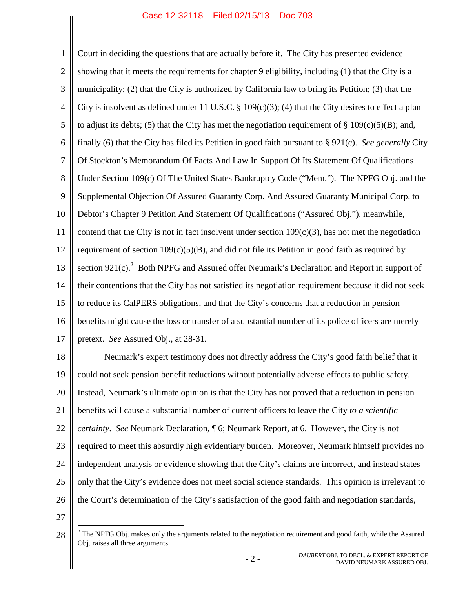<span id="page-5-2"></span><span id="page-5-1"></span><span id="page-5-0"></span>1 2 3 4 5 6 7 8 9 10 11 12 13 14 15 16 17 Court in deciding the questions that are actually before it. The City has presented evidence showing that it meets the requirements for chapter 9 eligibility, including (1) that the City is a municipality; (2) that the City is authorized by California law to bring its Petition; (3) that the City is insolvent as defined under 11 U.S.C.  $\S$  109(c)(3); (4) that the City desires to effect a plan to adjust its debts; (5) that the City has met the negotiation requirement of  $\S$  109(c)(5)(B); and, finally (6) that the City has filed its Petition in good faith pursuant to § 921(c). *See generally* City Of Stockton's Memorandum Of Facts And Law In Support Of Its Statement Of Qualifications Under Section 109(c) Of The United States Bankruptcy Code ("Mem."). The NPFG Obj. and the Supplemental Objection Of Assured Guaranty Corp. And Assured Guaranty Municipal Corp. to Debtor's Chapter 9 Petition And Statement Of Qualifications ("Assured Obj."), meanwhile, contend that the City is not in fact insolvent under section  $109(c)(3)$ , has not met the negotiation requirement of section  $109(c)(5)(B)$ , and did not file its Petition in good faith as required by section 9[2](#page-5-3)1(c).<sup>2</sup> Both NPFG and Assured offer Neumark's Declaration and Report in support of their contentions that the City has not satisfied its negotiation requirement because it did not seek to reduce its CalPERS obligations, and that the City's concerns that a reduction in pension benefits might cause the loss or transfer of a substantial number of its police officers are merely pretext. *See* Assured Obj., at 28-31.

18 19 20 21 22 23 24 25 26 Neumark's expert testimony does not directly address the City's good faith belief that it could not seek pension benefit reductions without potentially adverse effects to public safety. Instead, Neumark's ultimate opinion is that the City has not proved that a reduction in pension benefits will cause a substantial number of current officers to leave the City *to a scientific certainty*. *See* Neumark Declaration, ¶ 6; Neumark Report, at 6. However, the City is not required to meet this absurdly high evidentiary burden. Moreover, Neumark himself provides no independent analysis or evidence showing that the City's claims are incorrect, and instead states only that the City's evidence does not meet social science standards. This opinion is irrelevant to the Court's determination of the City's satisfaction of the good faith and negotiation standards,

<span id="page-5-3"></span><sup>28</sup> <sup>2</sup> The NPFG Obj. makes only the arguments related to the negotiation requirement and good faith, while the Assured Obj. raises all three arguments.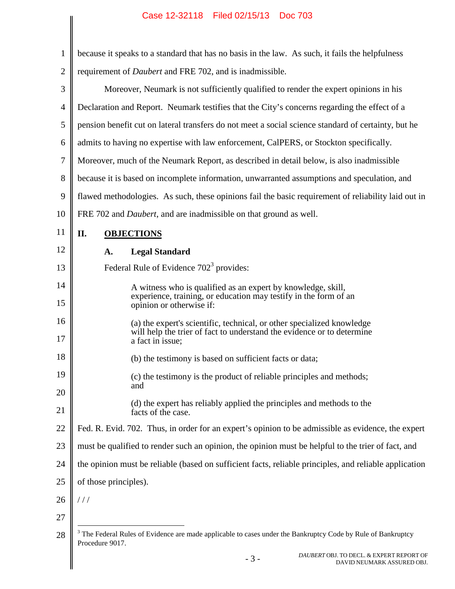<span id="page-6-3"></span><span id="page-6-2"></span><span id="page-6-1"></span><span id="page-6-0"></span>

| 1              | because it speaks to a standard that has no basis in the law. As such, it fails the helpfulness                                                  |  |  |  |
|----------------|--------------------------------------------------------------------------------------------------------------------------------------------------|--|--|--|
| $\overline{2}$ | requirement of <i>Daubert</i> and FRE 702, and is inadmissible.                                                                                  |  |  |  |
| 3              | Moreover, Neumark is not sufficiently qualified to render the expert opinions in his                                                             |  |  |  |
| 4              | Declaration and Report. Neumark testifies that the City's concerns regarding the effect of a                                                     |  |  |  |
| 5              | pension benefit cut on lateral transfers do not meet a social science standard of certainty, but he                                              |  |  |  |
| 6              | admits to having no expertise with law enforcement, CalPERS, or Stockton specifically.                                                           |  |  |  |
| 7              | Moreover, much of the Neumark Report, as described in detail below, is also inadmissible                                                         |  |  |  |
| 8              | because it is based on incomplete information, unwarranted assumptions and speculation, and                                                      |  |  |  |
| 9              | flawed methodologies. As such, these opinions fail the basic requirement of reliability laid out in                                              |  |  |  |
| 10             | FRE 702 and <i>Daubert</i> , and are inadmissible on that ground as well.                                                                        |  |  |  |
| 11             | II.<br><b>OBJECTIONS</b>                                                                                                                         |  |  |  |
| 12             | <b>Legal Standard</b><br>A.                                                                                                                      |  |  |  |
| 13             | Federal Rule of Evidence 702 <sup>3</sup> provides:                                                                                              |  |  |  |
| 14             | A witness who is qualified as an expert by knowledge, skill,                                                                                     |  |  |  |
| 15             | experience, training, or education may testify in the form of an<br>opinion or otherwise if:                                                     |  |  |  |
| 16             | (a) the expert's scientific, technical, or other specialized knowledge<br>will help the trier of fact to understand the evidence or to determine |  |  |  |
| 17             | a fact in issue;                                                                                                                                 |  |  |  |
| 18             | (b) the testimony is based on sufficient facts or data;                                                                                          |  |  |  |
| 19             | (c) the testimony is the product of reliable principles and methods;<br>and                                                                      |  |  |  |
| 20             | (d) the expert has reliably applied the principles and methods to the                                                                            |  |  |  |
| 21             | facts of the case.                                                                                                                               |  |  |  |
| 22             | Fed. R. Evid. 702. Thus, in order for an expert's opinion to be admissible as evidence, the expert                                               |  |  |  |
| 23             | must be qualified to render such an opinion, the opinion must be helpful to the trier of fact, and                                               |  |  |  |
| 24             | the opinion must be reliable (based on sufficient facts, reliable principles, and reliable application                                           |  |  |  |
| 25             | of those principles).                                                                                                                            |  |  |  |
| 26             | ///                                                                                                                                              |  |  |  |
| 27             |                                                                                                                                                  |  |  |  |
| 28             | <sup>3</sup> The Federal Rules of Evidence are made applicable to cases under the Bankruptcy Code by Rule of Bankruptcy<br>Procedure 9017.       |  |  |  |
|                | DAUBERT OBJ. TO DECL. & EXPERT REPORT OF<br>$-3-$<br>DAVID NEUMARK ASSURED OBJ.                                                                  |  |  |  |
|                |                                                                                                                                                  |  |  |  |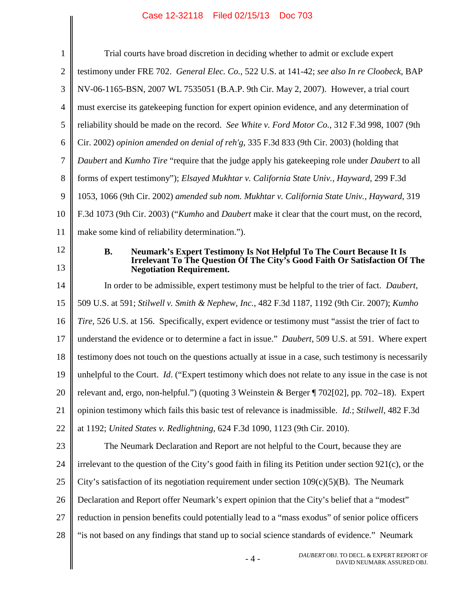<span id="page-7-10"></span><span id="page-7-9"></span><span id="page-7-8"></span><span id="page-7-7"></span><span id="page-7-6"></span><span id="page-7-5"></span><span id="page-7-4"></span><span id="page-7-3"></span><span id="page-7-2"></span><span id="page-7-1"></span><span id="page-7-0"></span>

| 1<br>$\overline{2}$<br>3<br>$\overline{4}$<br>5<br>6<br>7 | Trial courts have broad discretion in deciding whether to admit or exclude expert<br>testimony under FRE 702. General Elec. Co., 522 U.S. at 141-42; see also In re Cloobeck, BAP<br>NV-06-1165-BSN, 2007 WL 7535051 (B.A.P. 9th Cir. May 2, 2007). However, a trial court<br>must exercise its gate keeping function for expert opinion evidence, and any determination of<br>reliability should be made on the record. See White v. Ford Motor Co., 312 F.3d 998, 1007 (9th |  |  |  |
|-----------------------------------------------------------|-------------------------------------------------------------------------------------------------------------------------------------------------------------------------------------------------------------------------------------------------------------------------------------------------------------------------------------------------------------------------------------------------------------------------------------------------------------------------------|--|--|--|
|                                                           |                                                                                                                                                                                                                                                                                                                                                                                                                                                                               |  |  |  |
|                                                           |                                                                                                                                                                                                                                                                                                                                                                                                                                                                               |  |  |  |
|                                                           |                                                                                                                                                                                                                                                                                                                                                                                                                                                                               |  |  |  |
|                                                           |                                                                                                                                                                                                                                                                                                                                                                                                                                                                               |  |  |  |
|                                                           |                                                                                                                                                                                                                                                                                                                                                                                                                                                                               |  |  |  |
|                                                           | Cir. 2002) opinion amended on denial of reh'g, 335 F.3d 833 (9th Cir. 2003) (holding that                                                                                                                                                                                                                                                                                                                                                                                     |  |  |  |
|                                                           | Daubert and Kumho Tire "require that the judge apply his gatekeeping role under Daubert to all                                                                                                                                                                                                                                                                                                                                                                                |  |  |  |
| 8                                                         | forms of expert testimony"); Elsayed Mukhtar v. California State Univ., Hayward, 299 F.3d                                                                                                                                                                                                                                                                                                                                                                                     |  |  |  |
| 9                                                         | 1053, 1066 (9th Cir. 2002) amended sub nom. Mukhtar v. California State Univ., Hayward, 319                                                                                                                                                                                                                                                                                                                                                                                   |  |  |  |
| 10                                                        | F.3d 1073 (9th Cir. 2003) ("Kumho and Daubert make it clear that the court must, on the record,                                                                                                                                                                                                                                                                                                                                                                               |  |  |  |
| 11                                                        | make some kind of reliability determination.").                                                                                                                                                                                                                                                                                                                                                                                                                               |  |  |  |
| 12                                                        | Neumark's Expert Testimony Is Not Helpful To The Court Because It Is<br><b>B.</b>                                                                                                                                                                                                                                                                                                                                                                                             |  |  |  |
| 13                                                        | Irrelevant To The Question Of The City's Good Faith Or Satisfaction Of The<br><b>Negotiation Requirement.</b>                                                                                                                                                                                                                                                                                                                                                                 |  |  |  |
| 14                                                        | In order to be admissible, expert testimony must be helpful to the trier of fact. Daubert,                                                                                                                                                                                                                                                                                                                                                                                    |  |  |  |
| 15                                                        | 509 U.S. at 591; Stilwell v. Smith & Nephew, Inc., 482 F.3d 1187, 1192 (9th Cir. 2007); Kumho                                                                                                                                                                                                                                                                                                                                                                                 |  |  |  |
| 16                                                        | Tire, 526 U.S. at 156. Specifically, expert evidence or testimony must "assist the trier of fact to                                                                                                                                                                                                                                                                                                                                                                           |  |  |  |
| 17                                                        | understand the evidence or to determine a fact in issue." Daubert, 509 U.S. at 591. Where expert                                                                                                                                                                                                                                                                                                                                                                              |  |  |  |
| 18                                                        | testimony does not touch on the questions actually at issue in a case, such testimony is necessarily                                                                                                                                                                                                                                                                                                                                                                          |  |  |  |
| 19                                                        | unhelpful to the Court. Id. ("Expert testimony which does not relate to any issue in the case is not                                                                                                                                                                                                                                                                                                                                                                          |  |  |  |
| 20                                                        | relevant and, ergo, non-helpful.") (quoting 3 Weinstein & Berger ¶ 702[02], pp. 702–18). Expert                                                                                                                                                                                                                                                                                                                                                                               |  |  |  |
| 21                                                        | opinion testimony which fails this basic test of relevance is inadmissible. <i>Id.</i> ; <i>Stilwell</i> , 482 F.3d                                                                                                                                                                                                                                                                                                                                                           |  |  |  |
| 22                                                        | at 1192; United States v. Redlightning, 624 F.3d 1090, 1123 (9th Cir. 2010).                                                                                                                                                                                                                                                                                                                                                                                                  |  |  |  |
| 23                                                        | The Neumark Declaration and Report are not helpful to the Court, because they are                                                                                                                                                                                                                                                                                                                                                                                             |  |  |  |
| 24                                                        | irrelevant to the question of the City's good faith in filing its Petition under section 921(c), or the                                                                                                                                                                                                                                                                                                                                                                       |  |  |  |
| 25                                                        | City's satisfaction of its negotiation requirement under section $109(c)(5)(B)$ . The Neumark                                                                                                                                                                                                                                                                                                                                                                                 |  |  |  |
| 26                                                        | Declaration and Report offer Neumark's expert opinion that the City's belief that a "modest"                                                                                                                                                                                                                                                                                                                                                                                  |  |  |  |
| 27                                                        | reduction in pension benefits could potentially lead to a "mass exodus" of senior police officers                                                                                                                                                                                                                                                                                                                                                                             |  |  |  |
| 28                                                        | "is not based on any findings that stand up to social science standards of evidence." Neumark                                                                                                                                                                                                                                                                                                                                                                                 |  |  |  |
|                                                           | DAUBERT OBJ. TO DECL. & EXPERT REPORT OF<br>$-4-$<br>DAVID NEUMARK ASSURED OBJ.                                                                                                                                                                                                                                                                                                                                                                                               |  |  |  |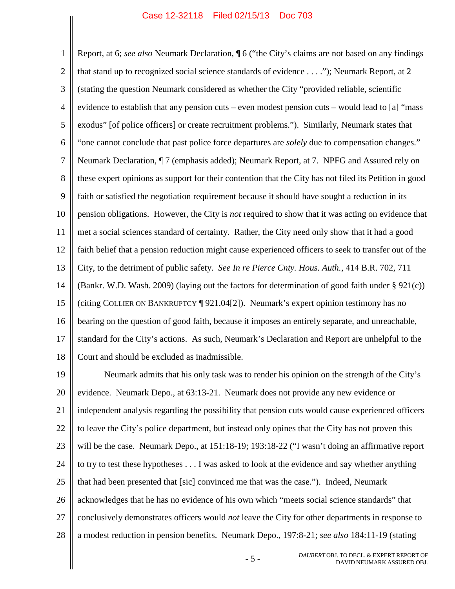1 2 3 4 5 6 7 8 9 10 11 12 13 14 15 16 17 18 Report, at 6; *see also* Neumark Declaration, ¶ 6 ("the City's claims are not based on any findings that stand up to recognized social science standards of evidence . . . ."); Neumark Report, at 2 (stating the question Neumark considered as whether the City "provided reliable, scientific evidence to establish that any pension cuts – even modest pension cuts – would lead to [a] "mass exodus" [of police officers] or create recruitment problems."). Similarly, Neumark states that "one cannot conclude that past police force departures are *solely* due to compensation changes." Neumark Declaration, ¶ 7 (emphasis added); Neumark Report, at 7. NPFG and Assured rely on these expert opinions as support for their contention that the City has not filed its Petition in good faith or satisfied the negotiation requirement because it should have sought a reduction in its pension obligations. However, the City is *not* required to show that it was acting on evidence that met a social sciences standard of certainty. Rather, the City need only show that it had a good faith belief that a pension reduction might cause experienced officers to seek to transfer out of the City, to the detriment of public safety. *See In re Pierce Cnty. Hous. Auth.*, 414 B.R. 702, 711 (Bankr. W.D. Wash. 2009) (laying out the factors for determination of good faith under § 921(c)) (citing COLLIER ON BANKRUPTCY ¶ 921.04[2]). Neumark's expert opinion testimony has no bearing on the question of good faith, because it imposes an entirely separate, and unreachable, standard for the City's actions. As such, Neumark's Declaration and Report are unhelpful to the Court and should be excluded as inadmissible.

<span id="page-8-2"></span><span id="page-8-1"></span><span id="page-8-0"></span>19 20 21 22 23 24 25 26 27 28 Neumark admits that his only task was to render his opinion on the strength of the City's evidence. Neumark Depo., at 63:13-21. Neumark does not provide any new evidence or independent analysis regarding the possibility that pension cuts would cause experienced officers to leave the City's police department, but instead only opines that the City has not proven this will be the case. Neumark Depo., at 151:18-19; 193:18-22 ("I wasn't doing an affirmative report to try to test these hypotheses . . . I was asked to look at the evidence and say whether anything that had been presented that [sic] convinced me that was the case."). Indeed, Neumark acknowledges that he has no evidence of his own which "meets social science standards" that conclusively demonstrates officers would *not* leave the City for other departments in response to a modest reduction in pension benefits. Neumark Depo., 197:8-21; *see also* 184:11-19 (stating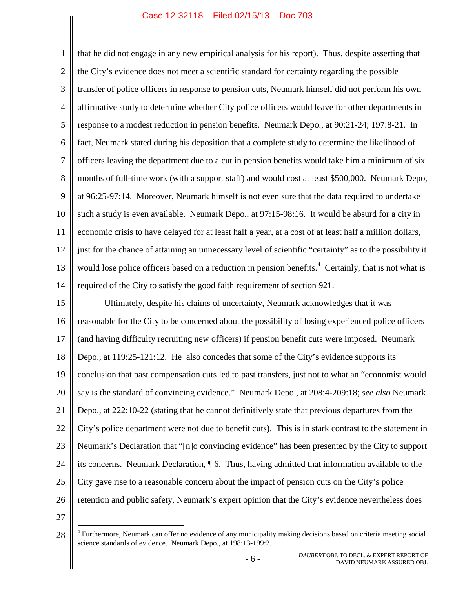1 2 3 4 5 6 7 8 9 10 11 12 13 14 that he did not engage in any new empirical analysis for his report). Thus, despite asserting that the City's evidence does not meet a scientific standard for certainty regarding the possible transfer of police officers in response to pension cuts, Neumark himself did not perform his own affirmative study to determine whether City police officers would leave for other departments in response to a modest reduction in pension benefits. Neumark Depo., at 90:21-24; 197:8-21. In fact, Neumark stated during his deposition that a complete study to determine the likelihood of officers leaving the department due to a cut in pension benefits would take him a minimum of six months of full-time work (with a support staff) and would cost at least \$500,000. Neumark Depo, at 96:25-97:14. Moreover, Neumark himself is not even sure that the data required to undertake such a study is even available. Neumark Depo., at 97:15-98:16. It would be absurd for a city in economic crisis to have delayed for at least half a year, at a cost of at least half a million dollars, just for the chance of attaining an unnecessary level of scientific "certainty" as to the possibility it would lose police officers based on a reduction in pension benefits.<sup>[4](#page-9-1)</sup> Certainly, that is not what is required of the City to satisfy the good faith requirement of section 921.

<span id="page-9-0"></span>15 16 17 18 19 20 21 22 23 24 25 26 Ultimately, despite his claims of uncertainty, Neumark acknowledges that it was reasonable for the City to be concerned about the possibility of losing experienced police officers (and having difficulty recruiting new officers) if pension benefit cuts were imposed. Neumark Depo., at 119:25-121:12. He also concedes that some of the City's evidence supports its conclusion that past compensation cuts led to past transfers, just not to what an "economist would say is the standard of convincing evidence." Neumark Depo., at 208:4-209:18; *see also* Neumark Depo., at 222:10-22 (stating that he cannot definitively state that previous departures from the City's police department were not due to benefit cuts). This is in stark contrast to the statement in Neumark's Declaration that "[n]o convincing evidence" has been presented by the City to support its concerns. Neumark Declaration, ¶ 6. Thus, having admitted that information available to the City gave rise to a reasonable concern about the impact of pension cuts on the City's police retention and public safety, Neumark's expert opinion that the City's evidence nevertheless does

<span id="page-9-1"></span><sup>28</sup> <sup>4</sup> Furthermore, Neumark can offer no evidence of any municipality making decisions based on criteria meeting social science standards of evidence. Neumark Depo., at 198:13-199:2.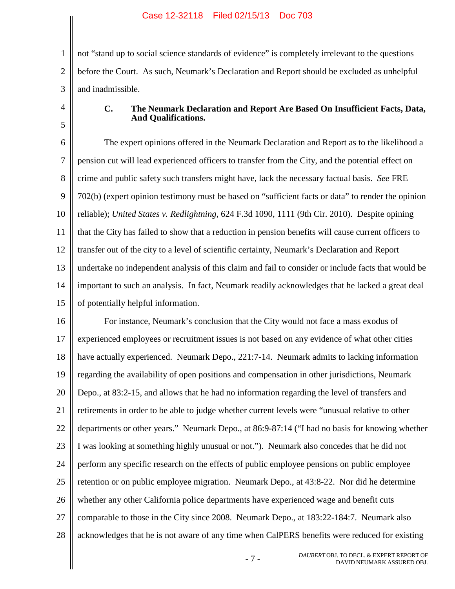1 2 3 not "stand up to social science standards of evidence" is completely irrelevant to the questions before the Court. As such, Neumark's Declaration and Report should be excluded as unhelpful and inadmissible.

4 5

## <span id="page-10-1"></span>**C. The Neumark Declaration and Report Are Based On Insufficient Facts, Data, And Qualifications.**

<span id="page-10-0"></span>6 7 8 9 10 11 12 13 14 15 The expert opinions offered in the Neumark Declaration and Report as to the likelihood a pension cut will lead experienced officers to transfer from the City, and the potential effect on crime and public safety such transfers might have, lack the necessary factual basis. *See* FRE 702(b) (expert opinion testimony must be based on "sufficient facts or data" to render the opinion reliable); *United States v. Redlightning*, 624 F.3d 1090, 1111 (9th Cir. 2010). Despite opining that the City has failed to show that a reduction in pension benefits will cause current officers to transfer out of the city to a level of scientific certainty, Neumark's Declaration and Report undertake no independent analysis of this claim and fail to consider or include facts that would be important to such an analysis. In fact, Neumark readily acknowledges that he lacked a great deal of potentially helpful information.

16 17 18 19 20 21 22 23 24 25 26 27 28 For instance, Neumark's conclusion that the City would not face a mass exodus of experienced employees or recruitment issues is not based on any evidence of what other cities have actually experienced. Neumark Depo., 221:7-14. Neumark admits to lacking information regarding the availability of open positions and compensation in other jurisdictions, Neumark Depo., at 83:2-15, and allows that he had no information regarding the level of transfers and retirements in order to be able to judge whether current levels were "unusual relative to other departments or other years." Neumark Depo., at 86:9-87:14 ("I had no basis for knowing whether I was looking at something highly unusual or not."). Neumark also concedes that he did not perform any specific research on the effects of public employee pensions on public employee retention or on public employee migration. Neumark Depo., at 43:8-22. Nor did he determine whether any other California police departments have experienced wage and benefit cuts comparable to those in the City since 2008. Neumark Depo., at 183:22-184:7. Neumark also acknowledges that he is not aware of any time when CalPERS benefits were reduced for existing

> - 7 - *DAUBERT* OBJ. TO DECL. & EXPERT REPORT OF DAVID NEUMARK ASSURED OBJ.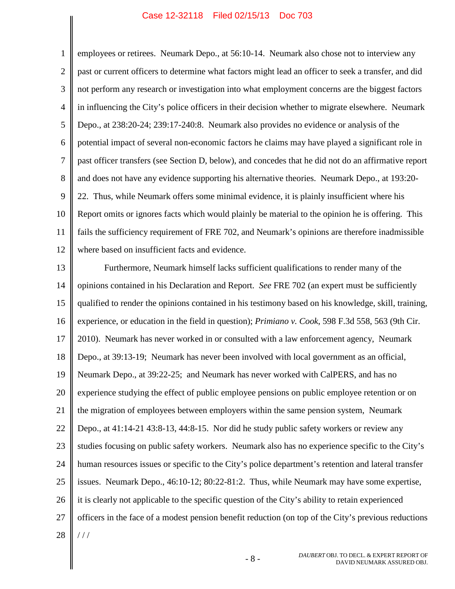1 2 3 4 5 6 7 8 9 10 11 12 employees or retirees. Neumark Depo., at 56:10-14. Neumark also chose not to interview any past or current officers to determine what factors might lead an officer to seek a transfer, and did not perform any research or investigation into what employment concerns are the biggest factors in influencing the City's police officers in their decision whether to migrate elsewhere. Neumark Depo., at 238:20-24; 239:17-240:8. Neumark also provides no evidence or analysis of the potential impact of several non-economic factors he claims may have played a significant role in past officer transfers (see Section D, below), and concedes that he did not do an affirmative report and does not have any evidence supporting his alternative theories. Neumark Depo., at 193:20- 22. Thus, while Neumark offers some minimal evidence, it is plainly insufficient where his Report omits or ignores facts which would plainly be material to the opinion he is offering. This fails the sufficiency requirement of FRE 702, and Neumark's opinions are therefore inadmissible where based on insufficient facts and evidence.

<span id="page-11-1"></span><span id="page-11-0"></span>13 14 15 16 17 18 19 20 21 22 23 24 25 26 27 28 Furthermore, Neumark himself lacks sufficient qualifications to render many of the opinions contained in his Declaration and Report. *See* FRE 702 (an expert must be sufficiently qualified to render the opinions contained in his testimony based on his knowledge, skill, training, experience, or education in the field in question); *Primiano v. Cook*, 598 F.3d 558, 563 (9th Cir. 2010). Neumark has never worked in or consulted with a law enforcement agency, Neumark Depo., at 39:13-19; Neumark has never been involved with local government as an official, Neumark Depo., at 39:22-25; and Neumark has never worked with CalPERS, and has no experience studying the effect of public employee pensions on public employee retention or on the migration of employees between employers within the same pension system, Neumark Depo., at 41:14-21 43:8-13, 44:8-15. Nor did he study public safety workers or review any studies focusing on public safety workers. Neumark also has no experience specific to the City's human resources issues or specific to the City's police department's retention and lateral transfer issues. Neumark Depo., 46:10-12; 80:22-81:2. Thus, while Neumark may have some expertise, it is clearly not applicable to the specific question of the City's ability to retain experienced officers in the face of a modest pension benefit reduction (on top of the City's previous reductions  $//$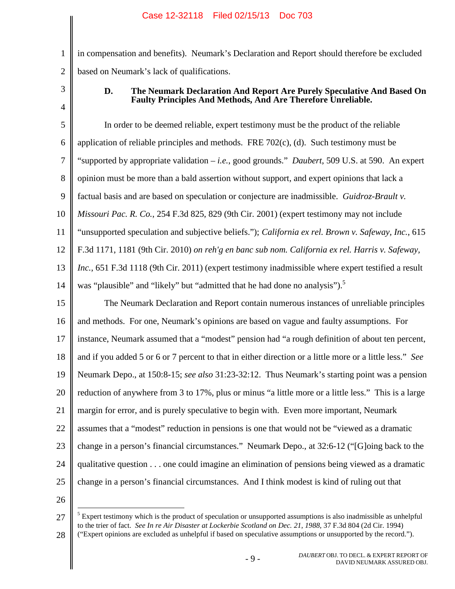in compensation and benefits). Neumark's Declaration and Report should therefore be excluded based on Neumark's lack of qualifications.

3

4

1

2

# <span id="page-12-4"></span><span id="page-12-2"></span><span id="page-12-1"></span><span id="page-12-0"></span>**D. The Neumark Declaration And Report Are Purely Speculative And Based On Faulty Principles And Methods, And Are Therefore Unreliable.**

5 6 7 8 9 10 11 12 13 14 In order to be deemed reliable, expert testimony must be the product of the reliable application of reliable principles and methods. FRE 702(c), (d). Such testimony must be "supported by appropriate validation – *i.e.*, good grounds." *Daubert*, 509 U.S. at 590. An expert opinion must be more than a bald assertion without support, and expert opinions that lack a factual basis and are based on speculation or conjecture are inadmissible. *Guidroz-Brault v. Missouri Pac. R. Co.*, 254 F.3d 825, 829 (9th Cir. 2001) (expert testimony may not include "unsupported speculation and subjective beliefs."); *California ex rel. Brown v. Safeway, Inc.*, 615 F.3d 1171, 1181 (9th Cir. 2010) *on reh'g en banc sub nom. California ex rel. Harris v. Safeway, Inc.*, 651 F.3d 1118 (9th Cir. 2011) (expert testimony inadmissible where expert testified a result was "plausible" and "likely" but "admitted that he had done no analysis").<sup>5</sup>

15 16 17 18 19 20 21 22 23 24 25 The Neumark Declaration and Report contain numerous instances of unreliable principles and methods. For one, Neumark's opinions are based on vague and faulty assumptions. For instance, Neumark assumed that a "modest" pension had "a rough definition of about ten percent, and if you added 5 or 6 or 7 percent to that in either direction or a little more or a little less." *See* Neumark Depo., at 150:8-15; *see also* 31:23-32:12. Thus Neumark's starting point was a pension reduction of anywhere from 3 to 17%, plus or minus "a little more or a little less." This is a large margin for error, and is purely speculative to begin with. Even more important, Neumark assumes that a "modest" reduction in pensions is one that would not be "viewed as a dramatic change in a person's financial circumstances." Neumark Depo., at 32:6-12 ("[G]oing back to the qualitative question . . . one could imagine an elimination of pensions being viewed as a dramatic change in a person's financial circumstances. And I think modest is kind of ruling out that

<span id="page-12-3"></span><sup>27</sup>  $<sup>5</sup>$  Expert testimony which is the product of speculation or unsupported assumptions is also inadmissible as unhelpful</sup> to the trier of fact. *See In re Air Disaster at Lockerbie Scotland on Dec. 21, 1988*, 37 F.3d 804 (2d Cir. 1994)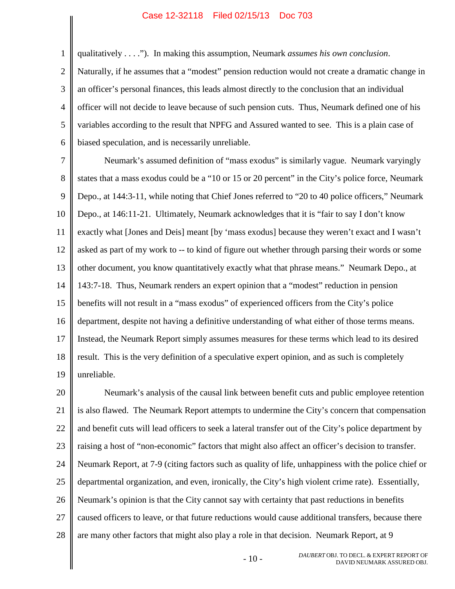qualitatively . . . ."). In making this assumption, Neumark *assumes his own conclusion*.

1

2 3 4 5 6 Naturally, if he assumes that a "modest" pension reduction would not create a dramatic change in an officer's personal finances, this leads almost directly to the conclusion that an individual officer will not decide to leave because of such pension cuts. Thus, Neumark defined one of his variables according to the result that NPFG and Assured wanted to see. This is a plain case of biased speculation, and is necessarily unreliable.

7 8 9 10 11 12 13 14 15 16 17 18 19 Neumark's assumed definition of "mass exodus" is similarly vague. Neumark varyingly states that a mass exodus could be a "10 or 15 or 20 percent" in the City's police force, Neumark Depo., at 144:3-11, while noting that Chief Jones referred to "20 to 40 police officers," Neumark Depo., at 146:11-21. Ultimately, Neumark acknowledges that it is "fair to say I don't know exactly what [Jones and Deis] meant [by 'mass exodus] because they weren't exact and I wasn't asked as part of my work to -- to kind of figure out whether through parsing their words or some other document, you know quantitatively exactly what that phrase means." Neumark Depo., at 143:7-18. Thus, Neumark renders an expert opinion that a "modest" reduction in pension benefits will not result in a "mass exodus" of experienced officers from the City's police department, despite not having a definitive understanding of what either of those terms means. Instead, the Neumark Report simply assumes measures for these terms which lead to its desired result. This is the very definition of a speculative expert opinion, and as such is completely unreliable.

20 21 22 23 24 25 26 27 28 Neumark's analysis of the causal link between benefit cuts and public employee retention is also flawed. The Neumark Report attempts to undermine the City's concern that compensation and benefit cuts will lead officers to seek a lateral transfer out of the City's police department by raising a host of "non-economic" factors that might also affect an officer's decision to transfer. Neumark Report, at 7-9 (citing factors such as quality of life, unhappiness with the police chief or departmental organization, and even, ironically, the City's high violent crime rate). Essentially, Neumark's opinion is that the City cannot say with certainty that past reductions in benefits caused officers to leave, or that future reductions would cause additional transfers, because there are many other factors that might also play a role in that decision. Neumark Report, at 9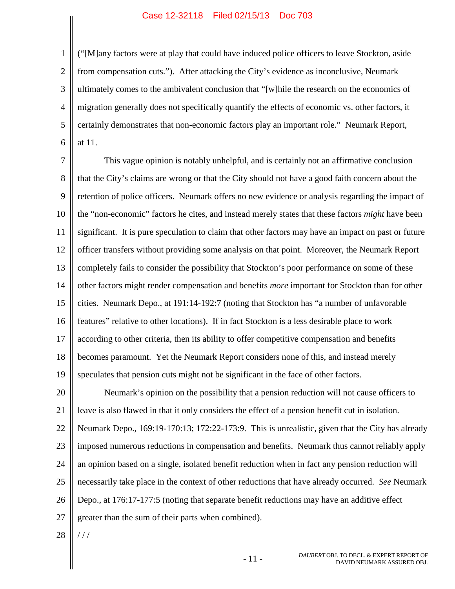1 2 3 4 5 6 ("[M]any factors were at play that could have induced police officers to leave Stockton, aside from compensation cuts."). After attacking the City's evidence as inconclusive, Neumark ultimately comes to the ambivalent conclusion that "[w]hile the research on the economics of migration generally does not specifically quantify the effects of economic vs. other factors, it certainly demonstrates that non-economic factors play an important role." Neumark Report, at 11.

7 8 9 10 11 12 13 14 15 16 17 18 19 This vague opinion is notably unhelpful, and is certainly not an affirmative conclusion that the City's claims are wrong or that the City should not have a good faith concern about the retention of police officers. Neumark offers no new evidence or analysis regarding the impact of the "non-economic" factors he cites, and instead merely states that these factors *might* have been significant. It is pure speculation to claim that other factors may have an impact on past or future officer transfers without providing some analysis on that point. Moreover, the Neumark Report completely fails to consider the possibility that Stockton's poor performance on some of these other factors might render compensation and benefits *more* important for Stockton than for other cities. Neumark Depo., at 191:14-192:7 (noting that Stockton has "a number of unfavorable features" relative to other locations). If in fact Stockton is a less desirable place to work according to other criteria, then its ability to offer competitive compensation and benefits becomes paramount. Yet the Neumark Report considers none of this, and instead merely speculates that pension cuts might not be significant in the face of other factors.

20 21 22 23 24 25 26 27 Neumark's opinion on the possibility that a pension reduction will not cause officers to leave is also flawed in that it only considers the effect of a pension benefit cut in isolation. Neumark Depo., 169:19-170:13; 172:22-173:9. This is unrealistic, given that the City has already imposed numerous reductions in compensation and benefits. Neumark thus cannot reliably apply an opinion based on a single, isolated benefit reduction when in fact any pension reduction will necessarily take place in the context of other reductions that have already occurred. *See* Neumark Depo., at 176:17-177:5 (noting that separate benefit reductions may have an additive effect greater than the sum of their parts when combined).

28  $//$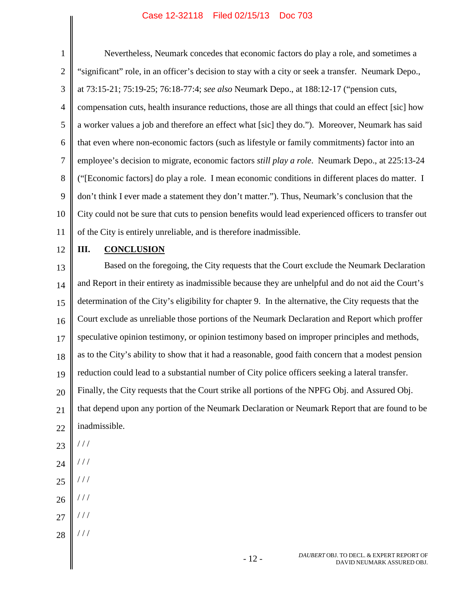1 2 3 4 5 6 7 8 9 10 11 Nevertheless, Neumark concedes that economic factors do play a role, and sometimes a "significant" role, in an officer's decision to stay with a city or seek a transfer. Neumark Depo., at 73:15-21; 75:19-25; 76:18-77:4; *see also* Neumark Depo., at 188:12-17 ("pension cuts, compensation cuts, health insurance reductions, those are all things that could an effect [sic] how a worker values a job and therefore an effect what [sic] they do."). Moreover, Neumark has said that even where non-economic factors (such as lifestyle or family commitments) factor into an employee's decision to migrate, economic factors *still play a role*. Neumark Depo., at 225:13-24 ("[Economic factors] do play a role. I mean economic conditions in different places do matter. I don't think I ever made a statement they don't matter."). Thus, Neumark's conclusion that the City could not be sure that cuts to pension benefits would lead experienced officers to transfer out of the City is entirely unreliable, and is therefore inadmissible.

12

## **III. CONCLUSION**

13 14 15 16 17 18 19 20 21 22 23 24 Based on the foregoing, the City requests that the Court exclude the Neumark Declaration and Report in their entirety as inadmissible because they are unhelpful and do not aid the Court's determination of the City's eligibility for chapter 9. In the alternative, the City requests that the Court exclude as unreliable those portions of the Neumark Declaration and Report which proffer speculative opinion testimony, or opinion testimony based on improper principles and methods, as to the City's ability to show that it had a reasonable, good faith concern that a modest pension reduction could lead to a substantial number of City police officers seeking a lateral transfer. Finally, the City requests that the Court strike all portions of the NPFG Obj. and Assured Obj. that depend upon any portion of the Neumark Declaration or Neumark Report that are found to be inadmissible. / / / / / /

- 25 / / /
- 26 / / /
- 27 / / /
- 28 / / /